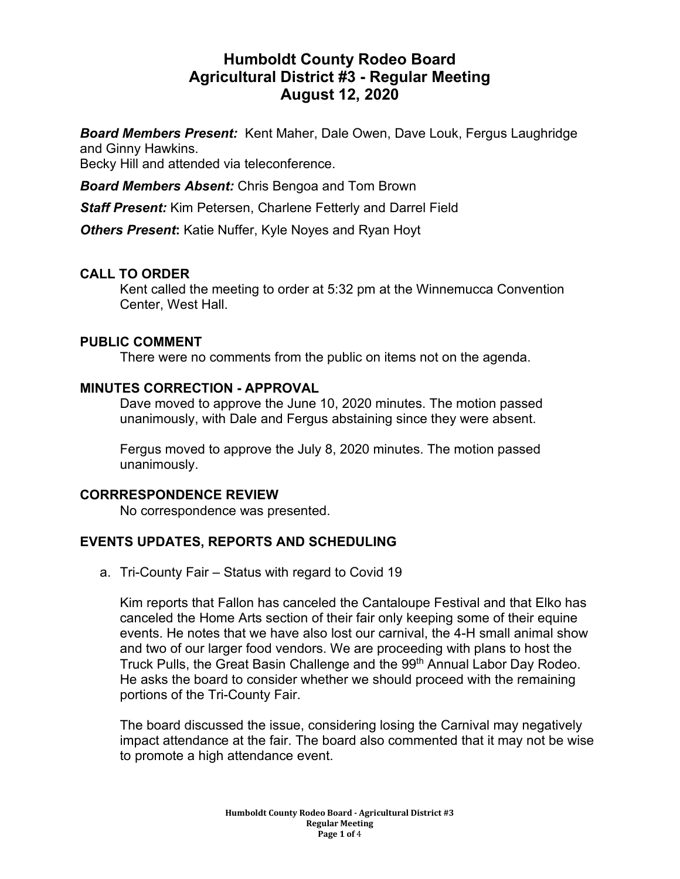# **Humboldt County Rodeo Board Agricultural District #3 - Regular Meeting August 12, 2020**

*Board Members Present:* Kent Maher, Dale Owen, Dave Louk, Fergus Laughridge and Ginny Hawkins.

Becky Hill and attended via teleconference.

*Board Members Absent:* Chris Bengoa and Tom Brown

*Staff Present:* Kim Petersen, Charlene Fetterly and Darrel Field

*Others Present***:** Katie Nuffer, Kyle Noyes and Ryan Hoyt

# **CALL TO ORDER**

Kent called the meeting to order at 5:32 pm at the Winnemucca Convention Center, West Hall.

# **PUBLIC COMMENT**

There were no comments from the public on items not on the agenda.

# **MINUTES CORRECTION - APPROVAL**

Dave moved to approve the June 10, 2020 minutes. The motion passed unanimously, with Dale and Fergus abstaining since they were absent.

Fergus moved to approve the July 8, 2020 minutes. The motion passed unanimously.

# **CORRRESPONDENCE REVIEW**

No correspondence was presented.

# **EVENTS UPDATES, REPORTS AND SCHEDULING**

a. Tri-County Fair – Status with regard to Covid 19

Kim reports that Fallon has canceled the Cantaloupe Festival and that Elko has canceled the Home Arts section of their fair only keeping some of their equine events. He notes that we have also lost our carnival, the 4-H small animal show and two of our larger food vendors. We are proceeding with plans to host the Truck Pulls, the Great Basin Challenge and the 99<sup>th</sup> Annual Labor Day Rodeo. He asks the board to consider whether we should proceed with the remaining portions of the Tri-County Fair.

The board discussed the issue, considering losing the Carnival may negatively impact attendance at the fair. The board also commented that it may not be wise to promote a high attendance event.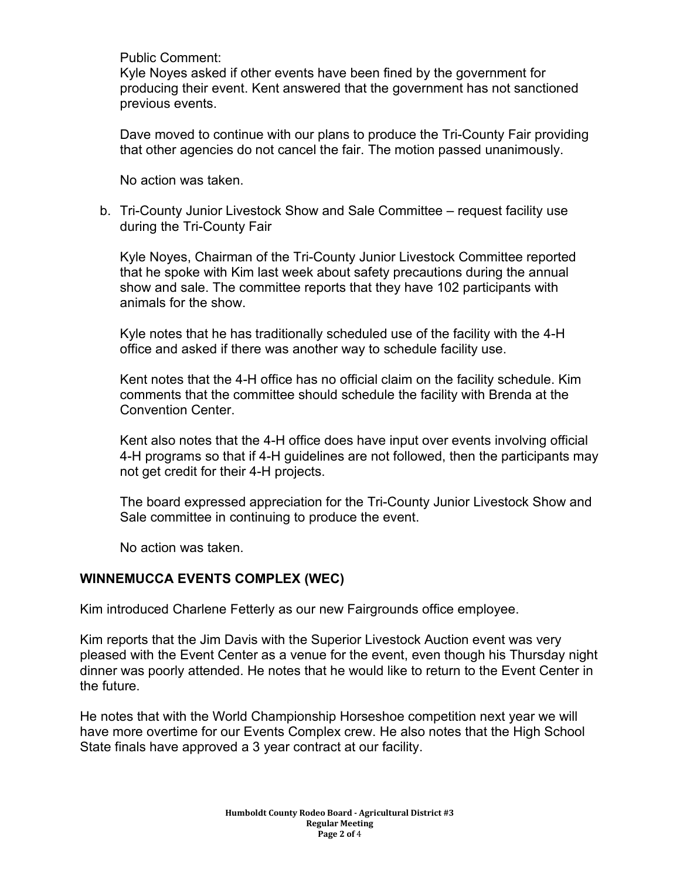Public Comment:

Kyle Noyes asked if other events have been fined by the government for producing their event. Kent answered that the government has not sanctioned previous events.

Dave moved to continue with our plans to produce the Tri-County Fair providing that other agencies do not cancel the fair. The motion passed unanimously.

No action was taken.

b. Tri-County Junior Livestock Show and Sale Committee – request facility use during the Tri-County Fair

Kyle Noyes, Chairman of the Tri-County Junior Livestock Committee reported that he spoke with Kim last week about safety precautions during the annual show and sale. The committee reports that they have 102 participants with animals for the show.

Kyle notes that he has traditionally scheduled use of the facility with the 4-H office and asked if there was another way to schedule facility use.

Kent notes that the 4-H office has no official claim on the facility schedule. Kim comments that the committee should schedule the facility with Brenda at the Convention Center.

Kent also notes that the 4-H office does have input over events involving official 4-H programs so that if 4-H guidelines are not followed, then the participants may not get credit for their 4-H projects.

The board expressed appreciation for the Tri-County Junior Livestock Show and Sale committee in continuing to produce the event.

No action was taken.

# **WINNEMUCCA EVENTS COMPLEX (WEC)**

Kim introduced Charlene Fetterly as our new Fairgrounds office employee.

Kim reports that the Jim Davis with the Superior Livestock Auction event was very pleased with the Event Center as a venue for the event, even though his Thursday night dinner was poorly attended. He notes that he would like to return to the Event Center in the future.

He notes that with the World Championship Horseshoe competition next year we will have more overtime for our Events Complex crew. He also notes that the High School State finals have approved a 3 year contract at our facility.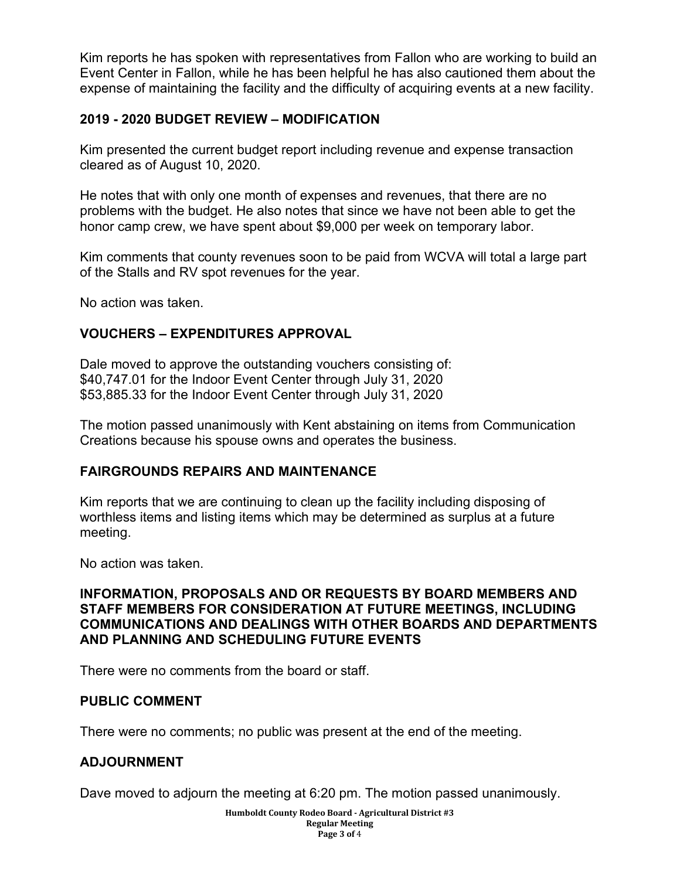Kim reports he has spoken with representatives from Fallon who are working to build an Event Center in Fallon, while he has been helpful he has also cautioned them about the expense of maintaining the facility and the difficulty of acquiring events at a new facility.

# **2019 - 2020 BUDGET REVIEW – MODIFICATION**

Kim presented the current budget report including revenue and expense transaction cleared as of August 10, 2020.

He notes that with only one month of expenses and revenues, that there are no problems with the budget. He also notes that since we have not been able to get the honor camp crew, we have spent about \$9,000 per week on temporary labor.

Kim comments that county revenues soon to be paid from WCVA will total a large part of the Stalls and RV spot revenues for the year.

No action was taken.

# **VOUCHERS – EXPENDITURES APPROVAL**

Dale moved to approve the outstanding vouchers consisting of: \$40,747.01 for the Indoor Event Center through July 31, 2020 \$53,885.33 for the Indoor Event Center through July 31, 2020

The motion passed unanimously with Kent abstaining on items from Communication Creations because his spouse owns and operates the business.

# **FAIRGROUNDS REPAIRS AND MAINTENANCE**

Kim reports that we are continuing to clean up the facility including disposing of worthless items and listing items which may be determined as surplus at a future meeting.

No action was taken.

# **INFORMATION, PROPOSALS AND OR REQUESTS BY BOARD MEMBERS AND STAFF MEMBERS FOR CONSIDERATION AT FUTURE MEETINGS, INCLUDING COMMUNICATIONS AND DEALINGS WITH OTHER BOARDS AND DEPARTMENTS AND PLANNING AND SCHEDULING FUTURE EVENTS**

There were no comments from the board or staff.

# **PUBLIC COMMENT**

There were no comments; no public was present at the end of the meeting.

# **ADJOURNMENT**

Dave moved to adjourn the meeting at 6:20 pm. The motion passed unanimously.

**Humboldt County Rodeo Board - Agricultural District #3 Regular Meeting Page 3 of** 4